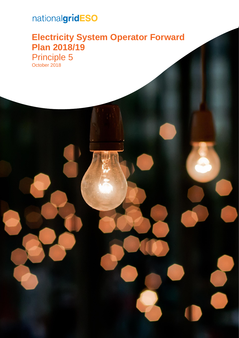# nationalgridESO

### **Electricity System Operator Forward Plan 2018/19** Principle 5

October 2018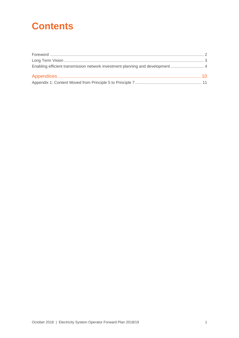### **Contents**

| Enabling efficient transmission network investment planning and development  4 |  |
|--------------------------------------------------------------------------------|--|
|                                                                                |  |
|                                                                                |  |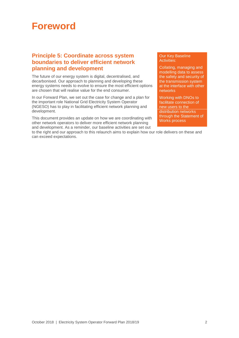### <span id="page-2-0"></span>**Foreword**

#### **Principle 5: Coordinate across system boundaries to deliver efficient network planning and development**

The future of our energy system is digital, decentralised, and decarbonised. Our approach to planning and developing these energy systems needs to evolve to ensure the most efficient options are chosen that will realise value for the end consumer.

In our Forward Plan, we set out the case for change and a plan for the important role National Grid Electricity System Operator (NGESO) has to play in facilitating efficient network planning and development.

This document provides an update on how we are coordinating with other network operators to deliver more efficient network planning and development. As a reminder, our baseline activities are set out

to the right and our approach to this relaunch aims to explain how our role delivers on these and can exceed expectations.

#### Our Key Baseline Activities:

Collating, managing and modelling data to assess the safety and security of the transmission system at the interface with other networks

Working with DNOs to facilitate connection of new users to the distribution networks through the Statement of Works process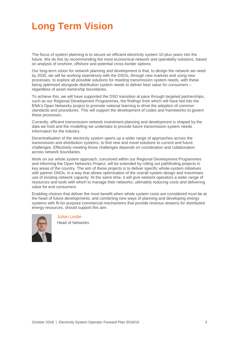## <span id="page-3-0"></span>**Long Term Vision**

The focus of system planning is to secure an efficient electricity system 10 plus years into the future. We do this by recommending the most economical network and operability solutions, based on analysis of onshore, offshore and potential cross-border options.

Our long-term vision for network planning and development is that, to design the network we need by 2030, we will be working seamlessly with the DSOs, through new markets and using new processes, to explore all possible solutions for meeting transmission system needs, with these being optimised alongside distribution system needs to deliver best value for consumers – regardless of asset ownership boundaries.

To achieve this, we will have supported the DSO transition at pace through targeted partnerships, such as our Regional Development Programmes, the findings from which will have fed into the ENA's Open Networks project to promote national learning to drive the adoption of common standards and procedures. This will support the development of codes and frameworks to govern these processes.

Currently, efficient transmission network investment planning and development is shaped by the data we hold and the modelling we undertake to provide future transmission system needs information for the industry.

Decentralisation of the electricity system opens up a wider range of approaches across the transmission and distribution systems; to find new and novel solutions to current and future challenges. Effectively meeting those challenges depends on coordination and collaboration across network boundaries.

Work on our whole system approach, conceived within our Regional Development Programmes and informing the Open Networks Project, will be extended by rolling out pathfinding projects in key areas of the country. The aim of these projects is to deliver specific whole-system initiatives with partner DNOs, in a way that allows optimisation of the overall system design and maximises use of existing network capacity. At the same time, it will give network operators a wider range of resources and tools with which to manage their networks; ultimately reducing costs and delivering value for end consumers.

Enabling choices that deliver the most benefit when whole system costs are considered must be at the heart of future developments; and combining new ways of planning and developing energy systems with fit-for-purpose commercial mechanisms that provide revenue streams for distributed energy resources, should support this aim.



Julian Leslie

Head of Networks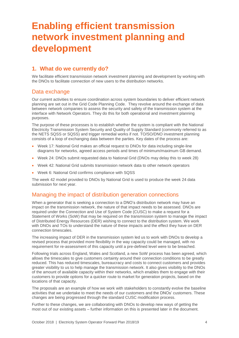### <span id="page-4-0"></span>**Enabling efficient transmission network investment planning and development**

#### **1. What do we currently do?**

We facilitate efficient transmission network investment planning and development by working with the DNOs to facilitate connection of new users to the distribution networks.

#### Data exchange

Our current activities to ensure coordination across system boundaries to deliver efficient network planning are set out in the Grid Code Planning Code. They revolve around the exchange of data between network companies to assess the security and safety of the transmission system at the interface with Network Operators. They do this for both operational and investment planning purposes.

The purpose of these processes is to establish whether the system is compliant with the National Electricity Transmission System Security and Quality of Supply Standard (commonly referred to as the NETS SQSS or SQSS) and trigger remedial works if not. TO/SO/DNO investment planning consists of a loop of exchanging data between the parties. Key dates of the process are:

- Week 17: National Grid makes an official request to DNOs for data including single-line diagrams for networks, agreed access periods and times of minimum/maximum GB demand.
- Week 24: DNOs submit requested data to National Grid (DNOs may delay this to week 28)
- Week 42: National Grid submits transmission network data to other network operators
- Week 6: National Grid confirms compliance with SQSS

The week 42 model provided to DNOs by National Grid is used to produce the week 24 data submission for next year.

#### Managing the impact of distribution generation connections

When a generator that is seeking a connection to a DNO's distribution network may have an impact on the transmission network, the nature of that impact needs to be assessed. DNOs are required under the Connection and Use of System Code (CUSC) to make a request for a Statement of Works (SoW) that may be required on the transmission system to manage the impact of Distributed Energy Resources (DER) wishing to connect to the distribution system. We work with DNOs and TOs to understand the nature of these impacts and the effect they have on DER connection timescales.

The increasing impact of DER in the transmission system led us to work with DNOs to develop a revised process that provided more flexibility in the way capacity could be managed, with no requirement for re-assessment of this capacity until a pre-defined level were to be breached.

Following trials across England, Wales and Scotland, a new SoW process has been agreed, which allows the timescales to give customers certainty around their connection conditions to be greatly reduced. This has reduced timescales, bureaucracy and costs to connect customers and provides greater visibility to us to help manage the transmission network. It also gives visibility to the DNOs of the amount of available capacity within their networks, which enables them to engage with their customers to provide options for a quicker route to market for generation projects, based on the locations of that capacity.

The proposals are an example of how we work with stakeholders to constantly evolve the baseline activities that we undertake to meet the needs of our customers and the DNOs' customers. These changes are being progressed through the standard CUSC modification process.

Further to these changes, we are collaborating with DNOs to develop new ways of getting the most out of our existing assets – further information on this is presented later in the document.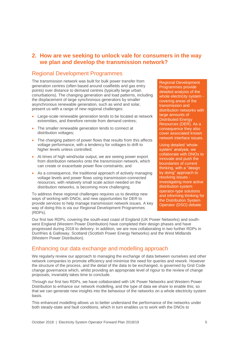#### **2. How are we seeking to unlock vale for consumers in the way we plan and develop the transmission network?**

#### Regional Development Programmes

The transmission network was built for bulk power transfer from generation centres (often based around coalfields and gas entry points) over distance to demand centres (typically large urban conurbations). The changing generation and load patterns, including the displacement of large synchronous generators by smaller asynchronous renewable generation, such as wind and solar, present us with a range of new regional challenges:

- Large-scale renewable generation tends to be located at network extremities, and therefore remote from demand centres;
- The smaller renewable generation tends to connect at distribution voltages;
- The changing pattern of power flows that results from this affects voltage performance, with a tendency for voltages to drift to higher levels unless controlled;
- At times of high wind/solar output, we are seeing power export from distribution networks onto the transmission network, which can create or exacerbate power flow constraints; and
- As a consequence, the traditional approach of actively managing voltage levels and power flows using transmission-connected resources, with relatively small scale action needed on the distribution networks, is becoming more challenging.

To address these regional challenges requires us to develop new ways of working with DNOs; and new opportunities for DER to provide services to help manage transmission network issues. A key way of doing this is via our Regional Development Programmes (RDPs).

Regional Development Programmes provide detailed analysis of the whole electricity system covering areas of the transmission and distribution networks with large amounts of Distributed Energy Resources (DER). As a consequence they also cover associated known network interface issues.

Using detailed 'wholesystem' analysis, we collaborate with DNOs to innovate and push the boundaries of current thinking, with a "design by doing" approach to resolving issues investigating more active distribution system operator-type solutions and informing thinking for the Distribution System Operator (DSO) debate.

Our first two RDPs, covering the south-east coast of England (UK Power Networks) and southwest England (Western Power Distribution) have completed their design phases and have progressed during 2018 to delivery. In addition, we are now collaborating in two further RDPs in Dumfries & Galloway, Scotland (Scottish Power Energy Networks) and the West Midlands (Western Power Distribution).

#### Enhancing our data exchange and modelling approach

We regularly review our approach to managing the exchange of data between ourselves and other network companies to promote efficiency and minimise the need for queries and rework. However the structure of the process, and the detail of the data to be exchanged, is governed by Grid Code change governance which, whilst providing an appropriate level of rigour to the review of change proposals, invariably takes time to conclude.

Through our first two RDPs, we have collaborated with UK Power Networks and Western Power Distribution to enhance our network modelling, and the type of data we share to enable this; so that we can generate new insights into the behaviour of the networks on a whole electricity system basis.

This enhanced modelling allows us to better understand the performance of the networks under both steady-state and fault conditions, which in turn enables us to work with the DNOs to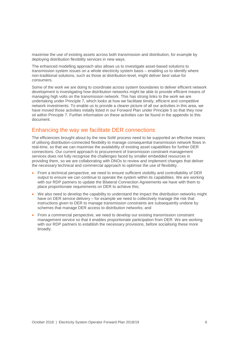maximise the use of existing assets across both transmission and distribution, for example by deploying distribution flexibility services in new ways.

The enhanced modelling approach also allows us to investigate asset-based solutions to transmission system issues on a whole electricity system basis – enabling us to identify where non-traditional solutions, such as those at distribution-level, might deliver best value for consumers.

Some of the work we are doing to coordinate across system boundaries to deliver efficient network development is investigating how distribution networks might be able to provide efficient means of managing high volts on the transmission network. This has strong links to the work we are undertaking under Principle 7, which looks at how we facilitate timely, efficient and competitive network investments. To enable us to provide a clearer picture of all our activities in this area, we have moved those activities initially listed in our Forward Plan under Principle 5 so that they now sit within Principle 7. Further information on these activities can be found in the appendix to this document.

#### Enhancing the way we facilitate DER connections

The efficiencies brought about by the new SoW process need to be supported an effective means of utilising distribution-connected flexibility to manage consequential transmission network flows in real-time, so that we can maximise the availability of existing asset capabilities for further DER connections. Our current approach to procurement of transmission constraint management services does not fully recognise the challenges faced by smaller embedded resources in providing them, so we are collaborating with DNOs to review and implement changes that deliver the necessary technical and commercial approach to optimise the use of flexibility.

- From a technical perspective, we need to ensure sufficient visibility and controllability of DER output to ensure we can continue to operate the system within its capabilities. We are working with our RDP partners to update the Bilateral Connection Agreements we have with them to place proportionate requirements on DER to achieve this;
- We also need to develop the capability to understand the impact the distribution networks might have on DER service delivery – for example we need to collectively manage the risk that instructions given to DER to manage transmission constraints are subsequently undone by schemes that manage DER access to distribution networks; and
- From a commercial perspective, we need to develop our existing transmission constraint management service so that it enables proportionate participation from DER. We are working with our RDP partners to establish the necessary provisions, before socialising these more broadly.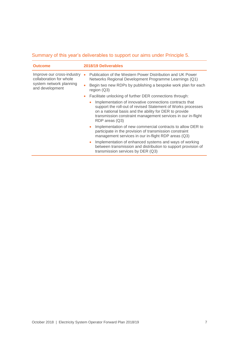| <b>Outcome</b>                                                                                      | 2018/19 Deliverables                                                                                                                                                                                                                                                |  |
|-----------------------------------------------------------------------------------------------------|---------------------------------------------------------------------------------------------------------------------------------------------------------------------------------------------------------------------------------------------------------------------|--|
| Improve our cross-industry<br>collaboration for whole<br>system network planning<br>and development | Publication of the Western Power Distribution and UK Power<br>Networks Regional Development Programme Learnings (Q1)                                                                                                                                                |  |
|                                                                                                     | Begin two new RDPs by publishing a bespoke work plan for each<br>region $(Q3)$                                                                                                                                                                                      |  |
|                                                                                                     | Facilitate unlocking of further DER connections through:<br>$\bullet$                                                                                                                                                                                               |  |
|                                                                                                     | Implementation of innovative connections contracts that<br>support the roll-out of revised Statement of Works processes<br>on a national basis and the ability for DER to provide<br>transmission constraint management services in our in-flight<br>RDP areas (Q3) |  |
|                                                                                                     | Implementation of new commercial contracts to allow DER to<br>participate in the provision of transmission constraint<br>management services in our in-flight RDP areas (Q3)                                                                                        |  |
|                                                                                                     | Implementation of enhanced systems and ways of working<br>between transmission and distribution to support provision of<br>transmission services by DER (Q3)                                                                                                        |  |

#### Summary of this year's deliverables to support our aims under Principle 5.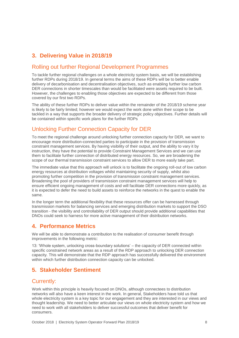### **3. Delivering Value in 2018/19**

#### Rolling out further Regional Development Programmes

To tackle further regional challenges on a whole electricity system basis, we will be establishing further RDPs during 2018/19. In general terms the aims of these RDPs will be to better enable delivery of decarbonisation and decentralisation objectives, such as enabling further low carbon DER connections in shorter timescales than would be facilitated were assets required to be built. However, the challenges to enabling those objectives are expected to be different from those covered by our first two RDPs.

The ability of these further RDPs to deliver value within the remainder of the 2018/19 scheme year is likely to be fairly limited; however we would expect the work done within their scope to be tackled in a way that supports the broader delivery of strategic policy objectives. Further details will be contained within specific work plans for the further RDPs

#### Unlocking Further Connection Capacity for DER

To meet the regional challenge around unlocking further connection capacity for DER, we want to encourage more distribution-connected parties to participate in the provision of transmission constraint management services. By having visibility of their output, and the ability to vary it by instruction, they have the potential to provide Constraint Management Services and we can use them to facilitate further connection of distributed energy resources. So, we are broadening the scope of our thermal transmission constraint services to allow DER to more easily take part.

The immediate value that this approach will unlock is to facilitate the ongoing roll-out of low carbon energy resources at distribution voltages whilst maintaining security of supply, whilst also promoting further competition in the provision of transmission constraint management services. Broadening the pool of providers of transmission constraint management services will help to ensure efficient ongoing management of costs and will facilitate DER connections more quickly, as it is expected to defer the need to build assets to reinforce the networks in the quest to enable the same.

In the longer term the additional flexibility that these resources offer can be harnessed through transmission markets for balancing services and emerging distribution markets to support the DSO transition - the visibility and controllability of DER output should provide additional capabilities that DNOs could seek to harness for more active management of their distribution networks.

#### **4. Performance Metrics**

We will be able to demonstrate a contribution to the realisation of consumer benefit through improvements in the following metric:

13: 'Whole system, unlocking cross-boundary solutions' – the capacity of DER connected within specific constrained network areas as a result of the RDP approach to unlocking DER connection capacity. This will demonstrate that the RDP approach has successfully delivered the environment within which further distribution connection capacity can be unlocked.

#### **5. Stakeholder Sentiment**

#### Currently:

Work within this principle is heavily focused on DNOs, although connectees to distribution networks will also have a keen interest in the work. In general, Stakeholders have told us that whole electricity system is a key topic for our engagement and they are interested in our views and thought leadership. We need to better articulate our views on whole electricity system and how we need to work with all stakeholders to deliver successful outcomes that deliver benefit for consumers.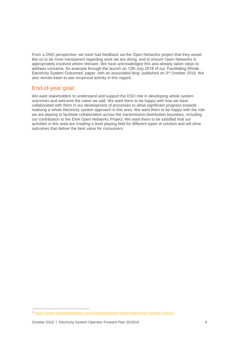From a DNO perspective, we have had feedback via the Open Networks project that they would like us to be more transparent regarding work we are doing, and to ensure Open Networks is appropriately involved where relevant. We have acknowledged this and already taken steps to address concerns, for example through the launch on 12th July 2018 of our 'Facilitating Whole Electricity System Outcomes' paper, with an associated blog<sup>1</sup> published on 3rd October 2018. We also remain keen to see reciprocal activity in this regard.

#### End-of-year goal:

We want stakeholders to understand and support the ESO role in developing whole system outcomes and welcome the value we add. We want them to be happy with how we have collaborated with them in our development of processes to allow significant progress towards realising a whole electricity system approach in this area. We want them to be happy with the role we are playing to facilitate collaboration across the transmission-distribution boundary, including our contribution to the ENA Open Networks Project. We want them to be satisfied that our activities in this area are creating a level playing field for different types of solution and will drive outcomes that deliver the best value for consumers.

-

<sup>1</sup> <https://www.nationalgrideso.com/news/shaping-whole-electricity-system-future>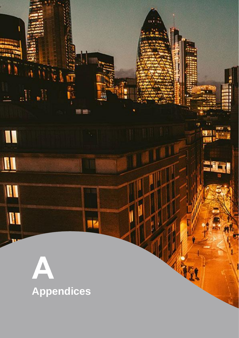<span id="page-10-0"></span>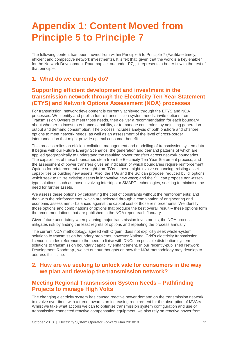## <span id="page-11-0"></span>**Appendix 1: Content Moved from Principle 5 to Principle 7**

The following content has been moved from within Principle 5 to Principle 7 (Facilitate timely, efficient and competitive network investments). It is felt that, given that the work is a key enabler for the Network Development Roadmap set out under P7, , it represents a better fit with the rest of that principle.

#### **1. What do we currently do?**

#### **Supporting efficient development and investment in the transmission network through the Electricity Ten Year Statement (ETYS) and Network Options Assessment (NOA) processes**

For transmission, network development is currently achieved through the ETYS and NOA processes. We identify and publish future transmission system needs, invite options from Transmission Owners to meet those needs, then deliver a recommendation for each boundary about whether to invest to enhance capability, or to manage constraints by adjusting generation output and demand consumption. The process includes analysis of both onshore and offshore options to meet network needs, as well as an assessment of the level of cross-border interconnection that might provide optimal consumer benefit.

This process relies on efficient collation, management and modelling of transmission system data. It begins with our Future Energy Scenarios, the generation and demand patterns of which are applied geographically to understand the resulting power transfers across network boundaries. The capabilities of these boundaries stem from the Electricity Ten Year Statement process; and the assessment of power transfers gives an indication of which boundaries require reinforcement. Options for reinforcement are sought from TOs – these might involve enhancing existing asset capabilities or building new assets. Also, the TOs and the SO can propose 'reduced build' options which seek to utilise existing assets in innovative new ways; and the SO can propose non-assettype solutions, such as those involving intertrips or SMART technologies, seeking to minimise the need for further assets.

We assess these options by calculating the cost of constraints without the reinforcements; and then with the reinforcements, which are selected through a combination of engineering and economic assessment - balanced against the capital cost of those reinforcements. We identify those options and combinations of options that produce the best overall result – these options form the recommendations that are published in the NOA report each January.

Given future uncertainty when planning major transmission investments, the NOA process mitigates risk by finding the least regrets of options and repeating the process annually.

The current NOA methodology, agreed with Ofgem, does not explicitly seek whole-system solutions to transmission boundary problems, however National Grid's electricity transmission licence includes reference to the need to liaise with DNOs on possible distribution system solutions to transmission boundary capability enhancement. In our recently-published Network Development Roadmap , we set out our thoughts on how the NOA methodology may develop to address this issue.

#### **2. How are we seeking to unlock vale for consumers in the way we plan and develop the transmission network?**

#### **Meeting Regional Transmission System Needs – Pathfinding Projects to manage High Volts**

The changing electricity system has caused reactive power demand on the transmission network to evolve over time, with a trend towards an increasing requirement for the absorption of MVArs. Whilst we take what actions we can to optimise transmission system configuration and use of transmission-connected reactive compensation equipment, we also rely on reactive power from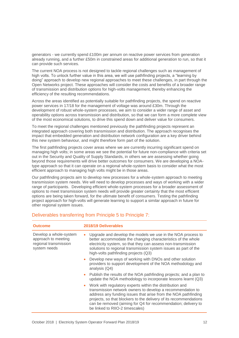generators - we currently spend £100m per annum on reactive power services from generation already running, and a further £50m in constrained areas for additional generation to run, so that it can provide such services.

The current NOA process is not designed to tackle regional challenges such as management of high volts. To unlock further value in this area, we will use pathfinding projects, a "learning by doing" approach to develop new regional approaches to meet these challenges, in part through the Open Networks project. These approaches will consider the costs and benefits of a broader range of transmission and distribution options for high-volts management, thereby enhancing the efficiency of the resulting recommendations.

Across the areas identified as potentially suitable for pathfinding projects, the spend on reactive power services in 17/18 for the management of voltage was around £30m. Through the development of robust whole-system processes, we aim to consider a wider range of asset and operability options across transmission and distribution, so that we can form a more complete view of the most economical solutions, to drive this spend down and deliver value for consumers.

To meet the regional challenges mentioned previously the pathfinding projects represent an integrated approach covering both transmission and distribution. The approach recognises the impact that embedded generation and distribution network configuration are a key driver behind this new system behaviour, and might therefore form part of the solution.

The first pathfinding projects cover areas where we are currently incurring significant spend on managing high volts; in some areas we see the potential for future non-compliance with criteria set out in the Security and Quality of Supply Standards, in others we are assessing whether going beyond those requirements will drive better outcomes for consumers. We are developing a NOAtype approach so that it can operate on a regional whole-system basis to consider what the most efficient approach to managing high volts might be in those areas.

Our pathfinding projects aim to develop new processes for a whole-system approach to meeting transmission system needs. We will need to develop processes and ways of working with a wider range of participants. Developing efficient whole-system processes for a broader assessment of options to meet transmission system needs will provide greater certainty that the most efficient options are being taken forward, for the ultimate benefit of consumers. Testing the pathfinding project approach for high-volts will generate learning to support a similar approach in future for other regional system issues.

| <b>Outcome</b>                                                                         | 2018/19 Deliverables                                                                                                                                                                                                                                                                                                                                                           |
|----------------------------------------------------------------------------------------|--------------------------------------------------------------------------------------------------------------------------------------------------------------------------------------------------------------------------------------------------------------------------------------------------------------------------------------------------------------------------------|
| Develop a whole-system<br>approach to meeting<br>regional transmission<br>system needs | Upgrade and develop the models we use in the NOA process to<br>$\bullet$<br>better accommodate the changing characteristics of the whole<br>electricity system, so that they can assess non-transmission<br>solutions to regional transmission system issues as part of the<br>high-volts pathfinding projects (Q3)                                                            |
|                                                                                        | Develop new ways of working with DNOs and other solution<br>providers to support development of the NOA methodology and<br>analysis $(Q4)$                                                                                                                                                                                                                                     |
|                                                                                        | • Publish the results of the NOA pathfinding projects; and a plan to<br>update the NOA methodology to incorporate lessons learnt (Q3)                                                                                                                                                                                                                                          |
|                                                                                        | Work with regulatory experts within the distribution and<br>$\bullet$<br>transmission network owners to develop a recommendation to<br>address any funding issues that arise from the NOA pathfinding<br>projects, so that blockers to the delivery of its recommendations<br>can be removed (aiming for Q4 for recommendation; delivery to<br>be linked to RIIO-2 timescales) |

#### Deliverables transferring from Principle 5 to Principle 7: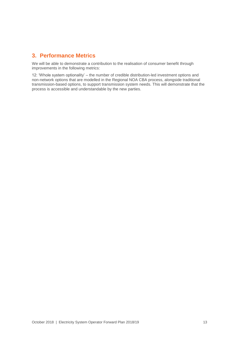#### **3. Performance Metrics**

We will be able to demonstrate a contribution to the realisation of consumer benefit through improvements in the following metrics:

12: 'Whole system optionality' – the number of credible distribution-led investment options and non-network options that are modelled in the Regional NOA CBA process, alongside traditional transmission-based options, to support transmission system needs. This will demonstrate that the process is accessible and understandable by the new parties.